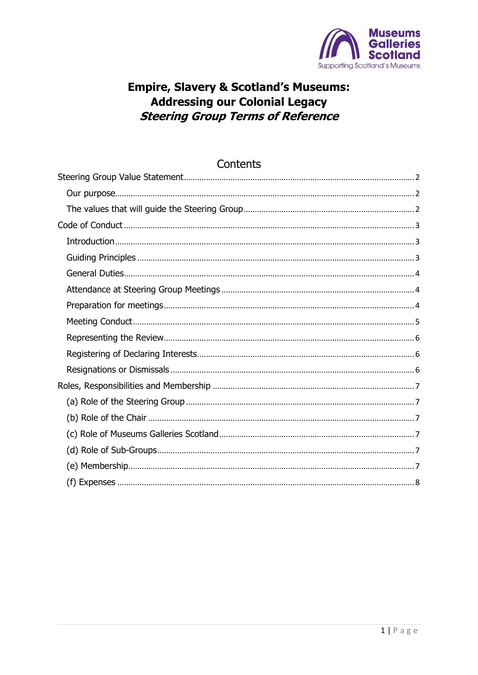

# **Empire, Slavery & Scotland's Museums: Addressing our Colonial Legacy Steering Group Terms of Reference**

| Contents |
|----------|
|          |
|          |
|          |
|          |
|          |
|          |
|          |
|          |
|          |
|          |
|          |
|          |
|          |
|          |
|          |
|          |
|          |
|          |
|          |
|          |

#### <span id="page-0-0"></span> $1 | P \text{age}$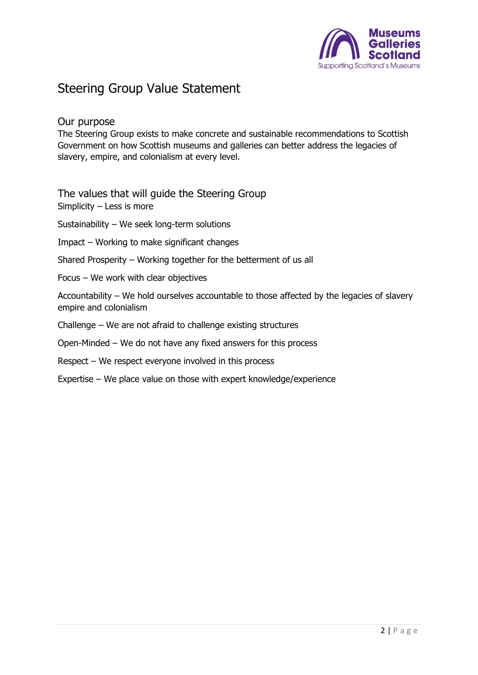

# Steering Group Value Statement

### <span id="page-1-0"></span>Our purpose

The Steering Group exists to make concrete and sustainable recommendations to Scottish Government on how Scottish museums and galleries can better address the legacies of slavery, empire, and colonialism at every level.

<span id="page-1-1"></span>The values that will guide the Steering Group Simplicity – Less is more

Sustainability – We seek long-term solutions

Impact – Working to make significant changes

Shared Prosperity – Working together for the betterment of us all

Focus – We work with clear objectives

Accountability – We hold ourselves accountable to those affected by the legacies of slavery empire and colonialism

Challenge – We are not afraid to challenge existing structures

Open-Minded – We do not have any fixed answers for this process

Respect – We respect everyone involved in this process

Expertise – We place value on those with expert knowledge/experience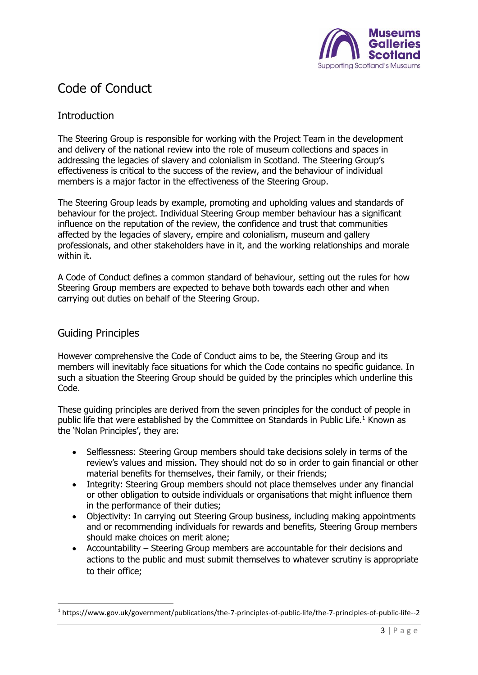

# <span id="page-2-0"></span>Code of Conduct

# <span id="page-2-1"></span>**Introduction**

The Steering Group is responsible for working with the Project Team in the development and delivery of the national review into the role of museum collections and spaces in addressing the legacies of slavery and colonialism in Scotland. The Steering Group's effectiveness is critical to the success of the review, and the behaviour of individual members is a major factor in the effectiveness of the Steering Group.

The Steering Group leads by example, promoting and upholding values and standards of behaviour for the project. Individual Steering Group member behaviour has a significant influence on the reputation of the review, the confidence and trust that communities affected by the legacies of slavery, empire and colonialism, museum and gallery professionals, and other stakeholders have in it, and the working relationships and morale within it.

A Code of Conduct defines a common standard of behaviour, setting out the rules for how Steering Group members are expected to behave both towards each other and when carrying out duties on behalf of the Steering Group.

## <span id="page-2-2"></span>Guiding Principles

However comprehensive the Code of Conduct aims to be, the Steering Group and its members will inevitably face situations for which the Code contains no specific guidance. In such a situation the Steering Group should be guided by the principles which underline this Code.

These guiding principles are derived from the seven principles for the conduct of people in public life that were established by the Committee on Standards in Public Life.<sup>1</sup> Known as the 'Nolan Principles', they are:

- Selflessness: Steering Group members should take decisions solely in terms of the review's values and mission. They should not do so in order to gain financial or other material benefits for themselves, their family, or their friends;
- Integrity: Steering Group members should not place themselves under any financial or other obligation to outside individuals or organisations that might influence them in the performance of their duties;
- Objectivity: In carrying out Steering Group business, including making appointments and or recommending individuals for rewards and benefits, Steering Group members should make choices on merit alone;
- Accountability Steering Group members are accountable for their decisions and actions to the public and must submit themselves to whatever scrutiny is appropriate to their office;

<sup>1</sup> https://www.gov.uk/government/publications/the-7-principles-of-public-life/the-7-principles-of-public-life--2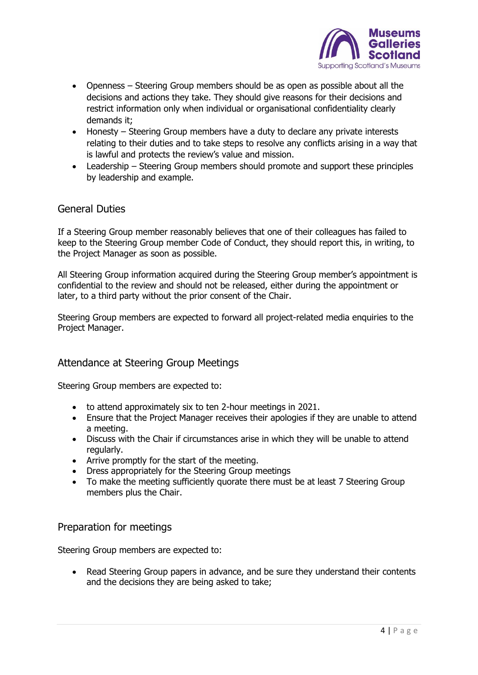

- Openness Steering Group members should be as open as possible about all the decisions and actions they take. They should give reasons for their decisions and restrict information only when individual or organisational confidentiality clearly demands it;
- Honesty Steering Group members have a duty to declare any private interests relating to their duties and to take steps to resolve any conflicts arising in a way that is lawful and protects the review's value and mission.
- Leadership Steering Group members should promote and support these principles by leadership and example.

#### <span id="page-3-0"></span>General Duties

If a Steering Group member reasonably believes that one of their colleagues has failed to keep to the Steering Group member Code of Conduct, they should report this, in writing, to the Project Manager as soon as possible.

All Steering Group information acquired during the Steering Group member's appointment is confidential to the review and should not be released, either during the appointment or later, to a third party without the prior consent of the Chair.

Steering Group members are expected to forward all project-related media enquiries to the Project Manager.

#### <span id="page-3-1"></span>Attendance at Steering Group Meetings

Steering Group members are expected to:

- to attend approximately six to ten 2-hour meetings in 2021.
- Ensure that the Project Manager receives their apologies if they are unable to attend a meeting.
- Discuss with the Chair if circumstances arise in which they will be unable to attend regularly.
- Arrive promptly for the start of the meeting.
- Dress appropriately for the Steering Group meetings
- To make the meeting sufficiently quorate there must be at least 7 Steering Group members plus the Chair.

#### <span id="page-3-2"></span>Preparation for meetings

Steering Group members are expected to:

• Read Steering Group papers in advance, and be sure they understand their contents and the decisions they are being asked to take;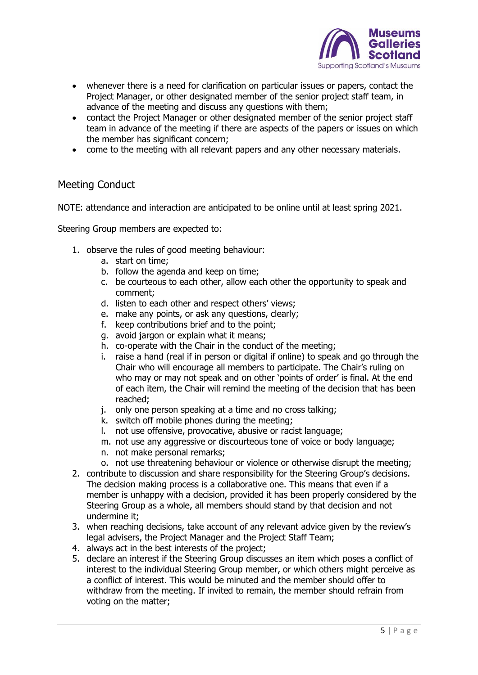

- whenever there is a need for clarification on particular issues or papers, contact the Project Manager, or other designated member of the senior project staff team, in advance of the meeting and discuss any questions with them;
- contact the Project Manager or other designated member of the senior project staff team in advance of the meeting if there are aspects of the papers or issues on which the member has significant concern;
- come to the meeting with all relevant papers and any other necessary materials.

#### <span id="page-4-0"></span>Meeting Conduct

NOTE: attendance and interaction are anticipated to be online until at least spring 2021.

Steering Group members are expected to:

- 1. observe the rules of good meeting behaviour:
	- a. start on time;
	- b. follow the agenda and keep on time;
	- c. be courteous to each other, allow each other the opportunity to speak and comment;
	- d. listen to each other and respect others' views;
	- e. make any points, or ask any questions, clearly;
	- f. keep contributions brief and to the point;
	- g. avoid jargon or explain what it means;
	- h. co-operate with the Chair in the conduct of the meeting;
	- i. raise a hand (real if in person or digital if online) to speak and go through the Chair who will encourage all members to participate. The Chair's ruling on who may or may not speak and on other 'points of order' is final. At the end of each item, the Chair will remind the meeting of the decision that has been reached;
	- j. only one person speaking at a time and no cross talking;
	- k. switch off mobile phones during the meeting;
	- l. not use offensive, provocative, abusive or racist language;
	- m. not use any aggressive or discourteous tone of voice or body language;
	- n. not make personal remarks;
	- o. not use threatening behaviour or violence or otherwise disrupt the meeting;
- 2. contribute to discussion and share responsibility for the Steering Group's decisions. The decision making process is a collaborative one. This means that even if a member is unhappy with a decision, provided it has been properly considered by the Steering Group as a whole, all members should stand by that decision and not undermine it;
- 3. when reaching decisions, take account of any relevant advice given by the review's legal advisers, the Project Manager and the Project Staff Team;
- 4. always act in the best interests of the project;
- 5. declare an interest if the Steering Group discusses an item which poses a conflict of interest to the individual Steering Group member, or which others might perceive as a conflict of interest. This would be minuted and the member should offer to withdraw from the meeting. If invited to remain, the member should refrain from voting on the matter;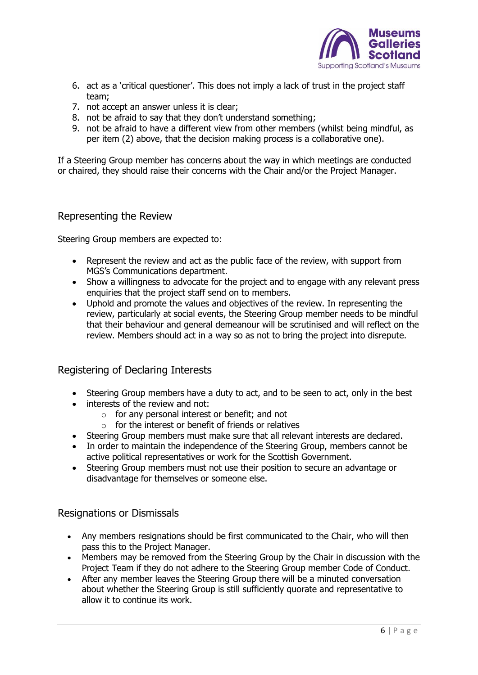

- 6. act as a 'critical questioner'. This does not imply a lack of trust in the project staff team;
- 7. not accept an answer unless it is clear;
- 8. not be afraid to say that they don't understand something;
- 9. not be afraid to have a different view from other members (whilst being mindful, as per item (2) above, that the decision making process is a collaborative one).

If a Steering Group member has concerns about the way in which meetings are conducted or chaired, they should raise their concerns with the Chair and/or the Project Manager.

#### <span id="page-5-0"></span>Representing the Review

Steering Group members are expected to:

- Represent the review and act as the public face of the review, with support from MGS's Communications department.
- Show a willingness to advocate for the project and to engage with any relevant press enquiries that the project staff send on to members.
- Uphold and promote the values and objectives of the review. In representing the review, particularly at social events, the Steering Group member needs to be mindful that their behaviour and general demeanour will be scrutinised and will reflect on the review. Members should act in a way so as not to bring the project into disrepute.

#### <span id="page-5-1"></span>Registering of Declaring Interests

- Steering Group members have a duty to act, and to be seen to act, only in the best
- interests of the review and not:
	- o for any personal interest or benefit; and not
	- $\circ$  for the interest or benefit of friends or relatives
- Steering Group members must make sure that all relevant interests are declared.
- In order to maintain the independence of the Steering Group, members cannot be active political representatives or work for the Scottish Government.
- Steering Group members must not use their position to secure an advantage or disadvantage for themselves or someone else.

#### <span id="page-5-2"></span>Resignations or Dismissals

- Any members resignations should be first communicated to the Chair, who will then pass this to the Project Manager.
- Members may be removed from the Steering Group by the Chair in discussion with the Project Team if they do not adhere to the Steering Group member Code of Conduct.
- After any member leaves the Steering Group there will be a minuted conversation about whether the Steering Group is still sufficiently quorate and representative to allow it to continue its work.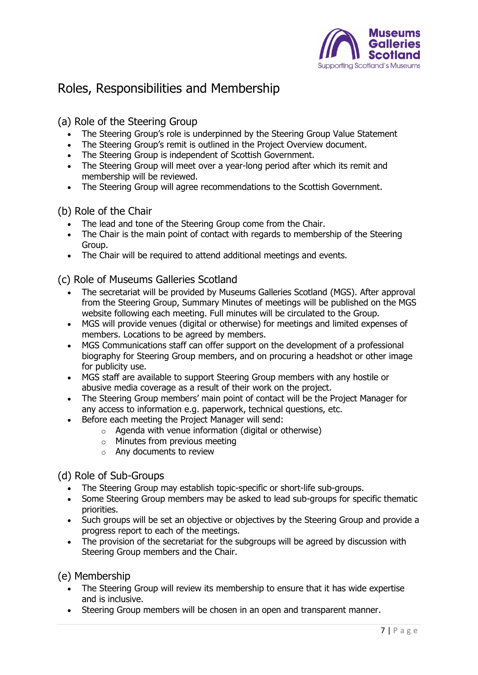

# <span id="page-6-0"></span>Roles, Responsibilities and Membership

<span id="page-6-1"></span>(a) Role of the Steering Group

- The Steering Group's role is underpinned by the Steering Group Value Statement
- The Steering Group's remit is outlined in the Project Overview document.
- The Steering Group is independent of Scottish Government.
- The Steering Group will meet over a year-long period after which its remit and membership will be reviewed.
- The Steering Group will agree recommendations to the Scottish Government.

## <span id="page-6-2"></span>(b) Role of the Chair

- The lead and tone of the Steering Group come from the Chair.
- The Chair is the main point of contact with regards to membership of the Steering Group.
- The Chair will be required to attend additional meetings and events.

<span id="page-6-3"></span>(c) Role of Museums Galleries Scotland

- The secretariat will be provided by Museums Galleries Scotland (MGS). After approval from the Steering Group, Summary Minutes of meetings will be published on the MGS website following each meeting. Full minutes will be circulated to the Group.
- MGS will provide venues (digital or otherwise) for meetings and limited expenses of members. Locations to be agreed by members.
- MGS Communications staff can offer support on the development of a professional biography for Steering Group members, and on procuring a headshot or other image for publicity use.
- MGS staff are available to support Steering Group members with any hostile or abusive media coverage as a result of their work on the project.
- The Steering Group members' main point of contact will be the Project Manager for any access to information e.g. paperwork, technical questions, etc.
- Before each meeting the Project Manager will send:
	- o Agenda with venue information (digital or otherwise)
	- $\circ$  Minutes from previous meeting
	- o Any documents to review

<span id="page-6-4"></span>(d) Role of Sub-Groups

- The Steering Group may establish topic-specific or short-life sub-groups.
- Some Steering Group members may be asked to lead sub-groups for specific thematic priorities.
- Such groups will be set an objective or objectives by the Steering Group and provide a progress report to each of the meetings.
- The provision of the secretariat for the subgroups will be agreed by discussion with Steering Group members and the Chair.

<span id="page-6-5"></span>(e) Membership

- The Steering Group will review its membership to ensure that it has wide expertise and is inclusive.
- Steering Group members will be chosen in an open and transparent manner.